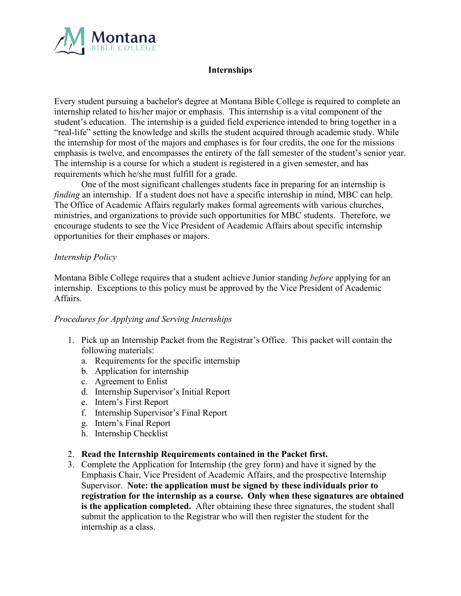

## **Internships**

Every student pursuing a bachelor's degree at Montana Bible College is required to complete an internship related to his/her major or emphasis. This internship is a vital component of the student's education. The internship is a guided field experience intended to bring together in a "real-life" setting the knowledge and skills the student acquired through academic study. While the internship for most of the majors and emphases is for four credits, the one for the missions emphasis is twelve, and encompasses the entirety of the fall semester of the student's senior year. The internship is a course for which a student is registered in a given semester, and has requirements which he/she must fulfill for a grade.

One of the most significant challenges students face in preparing for an internship is *finding* an internship. If a student does not have a specific internship in mind, MBC can help. The Office of Academic Affairs regularly makes formal agreements with various churches, ministries, and organizations to provide such opportunities for MBC students. Therefore, we encourage students to see the Vice President of Academic Affairs about specific internship opportunities for their emphases or majors.

## *Internship Policy*

Montana Bible College requires that a student achieve Junior standing *before* applying for an internship. Exceptions to this policy must be approved by the Vice President of Academic Affairs.

## *Procedures for Applying and Serving Internships*

- 1. Pick up an Internship Packet from the Registrar's Office. This packet will contain the following materials:
	- a. Requirements for the specific internship
	- b. Application for internship
	- c. Agreement to Enlist
	- d. Internship Supervisor's Initial Report
	- e. Intern's First Report
	- f. Internship Supervisor's Final Report
	- g. Intern's Final Report
	- h. Internship Checklist
- 2. **Read the Internship Requirements contained in the Packet first.**
- 3. Complete the Application for Internship (the grey form) and have it signed by the Emphasis Chair, Vice President of Academic Affairs, and the prospective Internship Supervisor. **Note: the application must be signed by these individuals prior to registration for the internship as a course. Only when these signatures are obtained is the application completed.** After obtaining these three signatures, the student shall submit the application to the Registrar who will then register the student for the internship as a class.